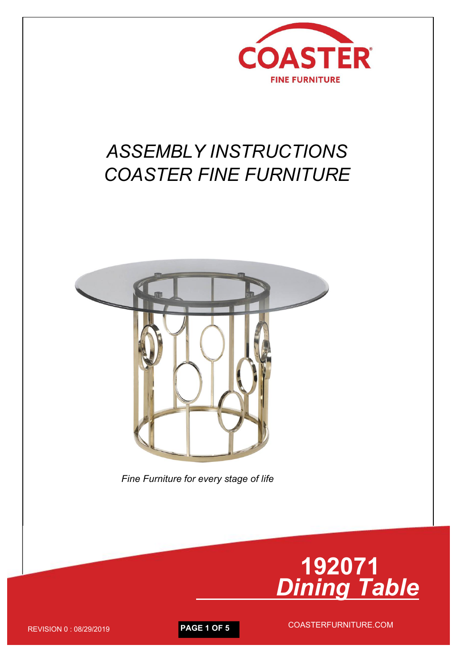

# *ASSEMBLY INSTRUCTIONS COASTER FINE FURNITURE*



*Fine Furniture for every stage of life*



REVISION <sup>0</sup> : 08/29/2019 **PAGE <sup>1</sup> OF <sup>5</sup>** COASTERFURNITURE.COM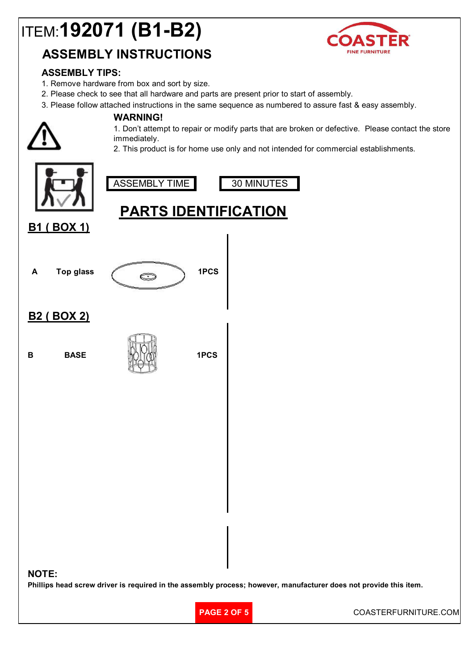# ITEM:**192071 (B1-B2)**

### **ASSEMBLY INSTRUCTIONS**



### **ASSEMBLY TIPS:**

- 1. Remove hardware from box and sort by size.
- 2. Please check to see that all hardware and parts are present prior to start of assembly.
- 3. Please follow attached instructions in the same sequence as numbered to assure fast & easy assembly.

#### **WARNING!**

1. Don't attempt to repair or modify parts that are broken or defective. Please contact the store immediately.

2. This product is for home use only and not intended for commercial establishments.

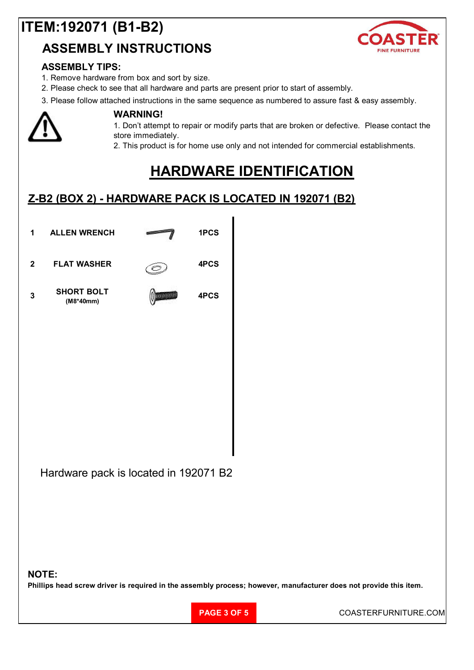## **ITEM:192071 (B1-B2)**

### **ASSEMBLY INSTRUCTIONS**



### **ASSEMBLY TIPS:**

- 1. Remove hardware from box and sort by size.
- 2. Please check to see that all hardware and parts are present prior to start of assembly.
- 3. Please follow attached instructions in the same sequence as numbered to assure fast & easy assembly.



#### **WARNING!**

1. Don't attempt to repair or modify parts that are broken or defective. Please contact the store immediately.

2. This product is for home use only and not intended for commercial establishments.

### **HARDWARE IDENTIFICATION**

### **Z-B2 (BOX 2) - HARDWARE PACK IS LOCATED IN 192071 (B2)**



#### **NOTE:**

Phillips head screw driver is required in the assembly process; however, manufacturer does not provide this item.

**PAGE 3 OF 5** COASTERFURNITURE.COM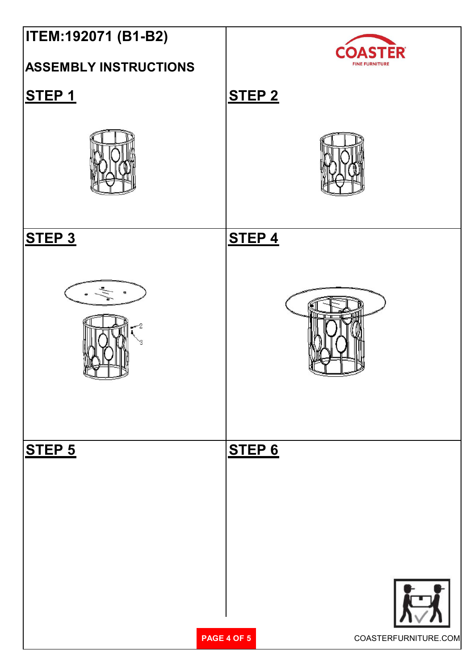